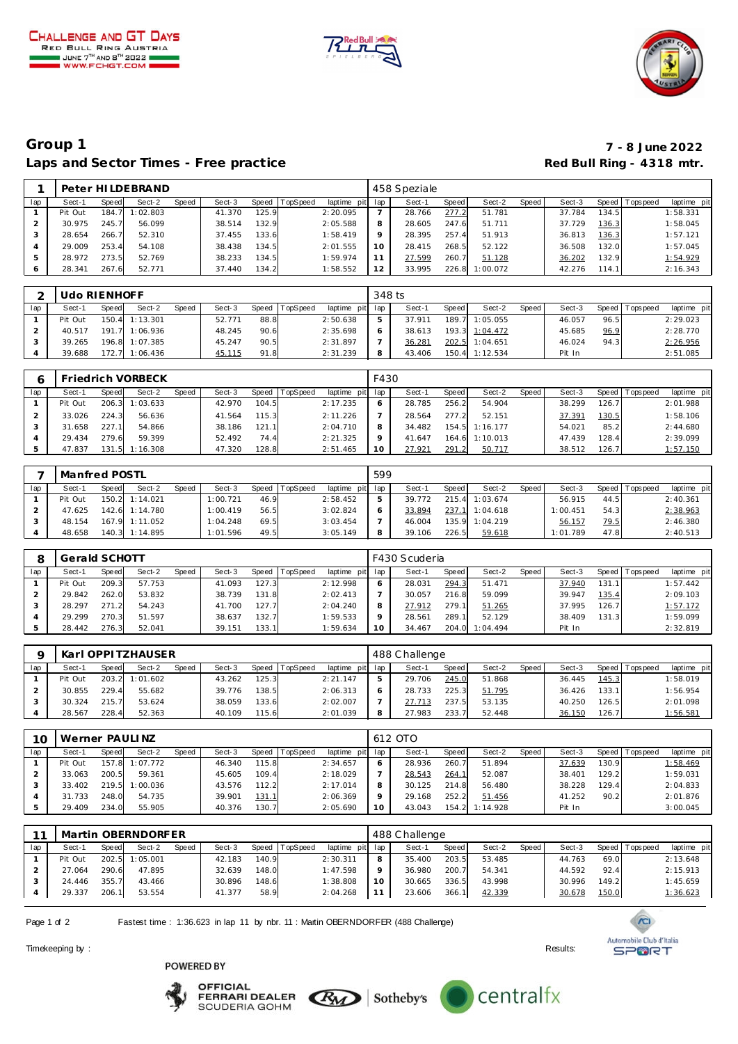





## **Group 1 7 - 8 June 2022** Laps and Sector Times - Free practice **Red Bull Ring - 4318 mtr.**

|               |         |       | Peter HILDEBRAND |       |        |       |                |             |         | 458 Speziale |       |          |       |        |        |                   |             |
|---------------|---------|-------|------------------|-------|--------|-------|----------------|-------------|---------|--------------|-------|----------|-------|--------|--------|-------------------|-------------|
| lap           | Sect-1  | Speed | Sect-2           | Speed | Sect-3 |       | Speed TopSpeed | laptime pit | lap     | Sect-1       | Speed | Sect-2   | Speed | Sect-3 |        | Speed   Tops peed | laptime pit |
|               | Pit Out | 184.7 | 1:02.803         |       | 41.370 | 125.9 |                | 2:20.095    |         | 28.766       | 277.2 | 51.781   |       | 37.784 | 134.51 |                   | 1:58.331    |
|               | 30.975  | 245.7 | 56.099           |       | 38.514 | 132.9 |                | 2:05.588    | 8       | 28.605       | 247.6 | 51.711   |       | 37.729 | 136.3  |                   | 1:58.045    |
| 3             | 28.654  | 266.7 | 52.310           |       | 37.455 | 133.6 |                | 1:58.419    | $\circ$ | 28.395       | 257.4 | 51.913   |       | 36.813 | 136.3  |                   | 1:57.121    |
|               | 29.009  | 253.4 | 54.108           |       | 38.438 | 134.5 |                | 2:01.555    | 10      | 28.415       | 268.5 | 52.122   |       | 36.508 | 132.0  |                   | 1:57.045    |
| $\mathcal{P}$ | 28.972  | 273.5 | 52.769           |       | 38.233 | 134.5 |                | 1:59.974    |         | 27.599       | 260.7 | 51.128   |       | 36.202 | 132.9  |                   | 1:54.929    |
| 6             | 28.341  | 267.6 | 52.771           |       | 37.440 | 134.2 |                | 1:58.552    | 12      | 33.995       | 226.8 | 1:00.072 |       | 42.276 | 114.1  |                   | 2:16.343    |

|     | Udo RIENHOFF |       |                |       |        |      |                |             | 348 ts |        |              |                |       |        |      |                 |             |
|-----|--------------|-------|----------------|-------|--------|------|----------------|-------------|--------|--------|--------------|----------------|-------|--------|------|-----------------|-------------|
| lap | Sect-′       | Speed | Sect-2         | Speed | Sect-3 |      | Speed TopSpeed | laptime pit | lap    | Sect-1 | <b>Speed</b> | Sect-2         | Speed | Sect-3 |      | Speed Tops peed | laptime pit |
|     | Pit Out      |       | 150.4 1:13.301 |       | 52.771 | 88.8 |                | 2:50.638    | ь      | 37.911 | 189.7        | 1:05.055       |       | 46.057 | 96.5 |                 | 2:29.023    |
|     | 40.517       |       | 191.7 1:06.936 |       | 48.245 | 90.6 |                | 2:35.698    | O      | 38.613 |              | 193.3 1:04.472 |       | 45.685 | 96.9 |                 | 2:28.770    |
|     | 39.265       |       | 196.8 1:07.385 |       | 45.247 | 90.5 |                | 2:31.897    |        | 36.281 | 202.5        | 1:04.651       |       | 46.024 | 94.3 |                 | 2:26.956    |
|     | 39.688       | 172.7 | 1:06.436       |       | 45.115 | 91.8 |                | 2:31.239    | 8      | 43.406 | 150.4        | 1:12.534       |       | Pit In |      |                 | 2:51.085    |

|     |         |        | Friedrich VORBECK |       |        |       |                 |             | F430 |        |       |                |       |        |       |          |             |
|-----|---------|--------|-------------------|-------|--------|-------|-----------------|-------------|------|--------|-------|----------------|-------|--------|-------|----------|-------------|
| lap | Sect-1  | Speed  | Sect-2            | Speed | Sect-3 | Speed | <b>TopSpeed</b> | laptime pit | lap  | Sect-1 | Speed | Sect-2         | Speed | Sect-3 | Speed | Topspeed | laptime pit |
|     | Pit Out |        | 206.3 1:03.633    |       | 42.970 | 104.5 |                 | 2:17.235    |      | 28.785 | 256.2 | 54.904         |       | 38.299 | 126.7 |          | 2:01.988    |
|     | 33.026  | 224.3  | 56.636            |       | 41.564 | 115.3 |                 | 2:11.226    |      | 28.564 | 277.2 | 52.151         |       | 37.391 | 130.5 |          | 1:58.106    |
|     | 31.658  | 227.11 | 54.866            |       | 38.186 | 121.1 |                 | 2:04.710    | 8    | 34.482 |       | 154.5 1:16.177 |       | 54.021 | 85.2  |          | 2:44.680    |
|     | 29.434  | 279.6  | 59.399            |       | 52.492 | 74.4  |                 | 2:21.325    |      | 41.647 |       | 164.6 1:10.013 |       | 47.439 | 128.4 |          | 2:39.099    |
|     | 47.837  |        | 131.5 1:16.308    |       | 47.320 | 128.8 |                 | 2:51.465    |      | 27.921 | 291.2 | 50.717         |       | 38.512 | 126.7 |          | 1:57.150    |

|     | Manfred POSTL |       |                |       |          |       |                 |                 | 599 |        |       |          |       |          |      |                 |             |
|-----|---------------|-------|----------------|-------|----------|-------|-----------------|-----------------|-----|--------|-------|----------|-------|----------|------|-----------------|-------------|
| lap | Sect-1        | Speed | Sect-2         | Speed | Sect-3   | Speed | <b>TopSpeed</b> | laptime pit lap |     | Sect-1 | Speed | Sect-2   | Speed | Sect-3   |      | Speed Tops peed | laptime pit |
|     | Pit Out       |       | 150.2 1:14.021 |       | 1:00.721 | 46.9  |                 | 2:58.452        |     | 39.772 | 215.4 | 1:03.674 |       | 56.915   | 44.5 |                 | 2:40.361    |
|     | 47.625        |       | 142.6 1:14.780 |       | 1:00.419 | 56.5  |                 | 3:02.824        |     | 33.894 | 237.1 | 1:04.618 |       | 1:00.451 | 54.3 |                 | 2:38.963    |
|     | 48.154        |       | 167.9 1:11.052 |       | 1:04.248 | 69.5  |                 | 3:03.454        |     | 46.004 | 135.9 | 1:04.219 |       | 56.157   | 79.5 |                 | 2:46.380    |
|     | 48.658        |       | 140.3 1:14.895 |       | 1:01.596 | 49.5  |                 | 3:05.149        |     | 39.106 | 226.5 | 59.618   |       | 1:01.789 | 47.8 |                 | 2:40.513    |

|     | Gerald SCHOTT |       |        |       |        |       |                 |                 |    | F430 Scuderia |       |          |       |        |        |                 |             |
|-----|---------------|-------|--------|-------|--------|-------|-----------------|-----------------|----|---------------|-------|----------|-------|--------|--------|-----------------|-------------|
| lap | Sect-1        | Speed | Sect-2 | Speed | Sect-3 | Speed | <b>TopSpeed</b> | laptime pit lap |    | Sect-1        | Speed | Sect-2   | Speed | Sect-3 |        | Speed Tops peed | laptime pit |
|     | Pit Out       | 209.3 | 57.753 |       | 41.093 | 127.3 |                 | 2:12.998        |    | 28.031        | 294.3 | 51.471   |       | 37.940 | 131.11 |                 | 1:57.442    |
|     | 29.842        | 262.0 | 53.832 |       | 38.739 | 131.8 |                 | 2:02.413        |    | 30.057        | 216.8 | 59.099   |       | 39.947 | 135.4  |                 | 2:09.103    |
|     | 28.297        | 271.2 | 54.243 |       | 41.700 | 127.7 |                 | 2:04.240        |    | 27.912        | 279.1 | 51.265   |       | 37.995 | 126.7  |                 | 1:57.172    |
|     | 29.299        | 270.3 | 51.597 |       | 38.637 | 132.7 |                 | 1:59.533        |    | 28.561        | 289.1 | 52.129   |       | 38.409 | 131.3  |                 | 1:59.099    |
|     | 28.442        | 276.3 | 52.041 |       | 39.151 | 133.1 |                 | 1:59.634        | 10 | 34.467        | 204.0 | 1:04.494 |       | Pit In |        |                 | 2:32.819    |

|     |         |       | Karl OPPI TZHAUSER |       |        |       |          |                 |   | 488 Challenge |              |        |       |        |       |                 |             |
|-----|---------|-------|--------------------|-------|--------|-------|----------|-----------------|---|---------------|--------------|--------|-------|--------|-------|-----------------|-------------|
| lap | Sect-1  | Speed | Sect-2             | Speed | Sect-3 | Speed | TopSpeed | laptime pit lap |   | Sect-1        | <b>Speed</b> | Sect-2 | Speed | Sect-3 |       | Speed Tops peed | laptime pit |
|     | Pit Out |       | 203.2 1:01.602     |       | 43.262 | 125.3 |          | 2:21.147        |   | 29.706        | 245.0        | 51.868 |       | 36.445 | 145.3 |                 | 1:58.019    |
|     | 30.855  | 229.4 | 55.682             |       | 39.776 | 138.5 |          | 2:06.313        |   | 28.733        | 225.3        | 51.795 |       | 36.426 | 133.1 |                 | 1:56.954    |
|     | 30.324  | 215.7 | 53.624             |       | 38.059 | 133.6 |          | 2:02.007        |   | 27.713        | 237.5        | 53.135 |       | 40.250 | 126.5 |                 | 2:01.098    |
|     | 28.567  | 228.4 | 52.363             |       | 40.109 | 115.6 |          | 2:01.039        | 8 | 27.983        | 233.7        | 52.448 |       | 36.150 | 126.7 |                 | 1:56.581    |

| 10  | Werner PAULINZ |       |                |       |        |       |          |                 |         | 612 OTO |       |                |       |        |       |                 |             |
|-----|----------------|-------|----------------|-------|--------|-------|----------|-----------------|---------|---------|-------|----------------|-------|--------|-------|-----------------|-------------|
| lap | Sect-1         | Speed | Sect-2         | Speed | Sect-3 | Speed | TopSpeed | laptime pit lap |         | Sect-1  | Speed | Sect-2         | Speed | Sect-3 |       | Speed Tops peed | laptime pit |
|     | Pit Out        |       | 157.8 1:07.772 |       | 46.340 | 115.8 |          | 2:34.657        |         | 28.936  | 260.7 | 51.894         |       | 37.639 | 130.9 |                 | 1:58.469    |
|     | 33.063         | 200.5 | 59.361         |       | 45.605 | 109.4 |          | 2:18.029        |         | 28.543  | 264.1 | 52.087         |       | 38.401 | 129.2 |                 | 1:59.031    |
|     | 33.402         |       | 219.5 1:00.036 |       | 43.576 | 112.2 |          | 2:17.014        |         | 30.125  | 214.8 | 56.480         |       | 38.228 | 129.4 |                 | 2:04.833    |
|     | 31.733         | 248.0 | 54.735         |       | 39.901 | 131.1 |          | 2:06.369        | $\circ$ | 29.168  | 252.2 | 51.456         |       | 41.252 | 90.2  |                 | 2:01.876    |
|     | 29.409         | 234.0 | 55.905         |       | 40.376 | 130.7 |          | 2:05.690        | 10      | 43.043  |       | 154.2 1:14.928 |       | Pit In |       |                 | 3:00.045    |

| 11  |         |       | Martin OBERNDORFER |       |        |       |          |                 |    | 488 Challenge |       |        |       |        |       |                |             |
|-----|---------|-------|--------------------|-------|--------|-------|----------|-----------------|----|---------------|-------|--------|-------|--------|-------|----------------|-------------|
| lap | Sect-1  | Speed | Sect-2             | Speed | Sect-3 | Speed | TopSpeed | laptime pit lap |    | Sect-1        | Speed | Sect-2 | Speed | Sect-3 |       | Speed Topspeed | laptime pit |
|     | Pit Out |       | 202.5 1:05.001     |       | 42.183 | 140.9 |          | 2:30.311        |    | 35.400        | 203.5 | 53.485 |       | 44.763 | 69.0  |                | 2:13.648    |
|     | 27.064  | 290.6 | 47.895             |       | 32.639 | 148.0 |          | 1:47.598        |    | 36.980        | 200.7 | 54.341 |       | 44.592 | 92.4  |                | 2:15.913    |
|     | 24.446  | 355.7 | 43.466             |       | 30.896 | 148.6 |          | 1:38.808        | 10 | 30.665        | 336.5 | 43.998 |       | 30.996 | 149.2 |                | 1:45.659    |
|     | 29.337  | 206.1 | 53.554             |       | 41.377 | 58.9  |          | 2:04.268        |    | 23.606        | 366.1 | 42.339 |       | 30.678 | 150.0 |                | 1:36.623    |

Page 1 of 2 Fastest time : 1:36.623 in lap 11 by nbr. 11 : Martin OBERNDORFER (488 Challenge)

Timekeeping by : Results: Results: Results: Results: Results: Results: Results: Results: Results: Results: Results: Results: Results: Results: Results: Results: Results: Results: Results: Results: Results: Results: Results